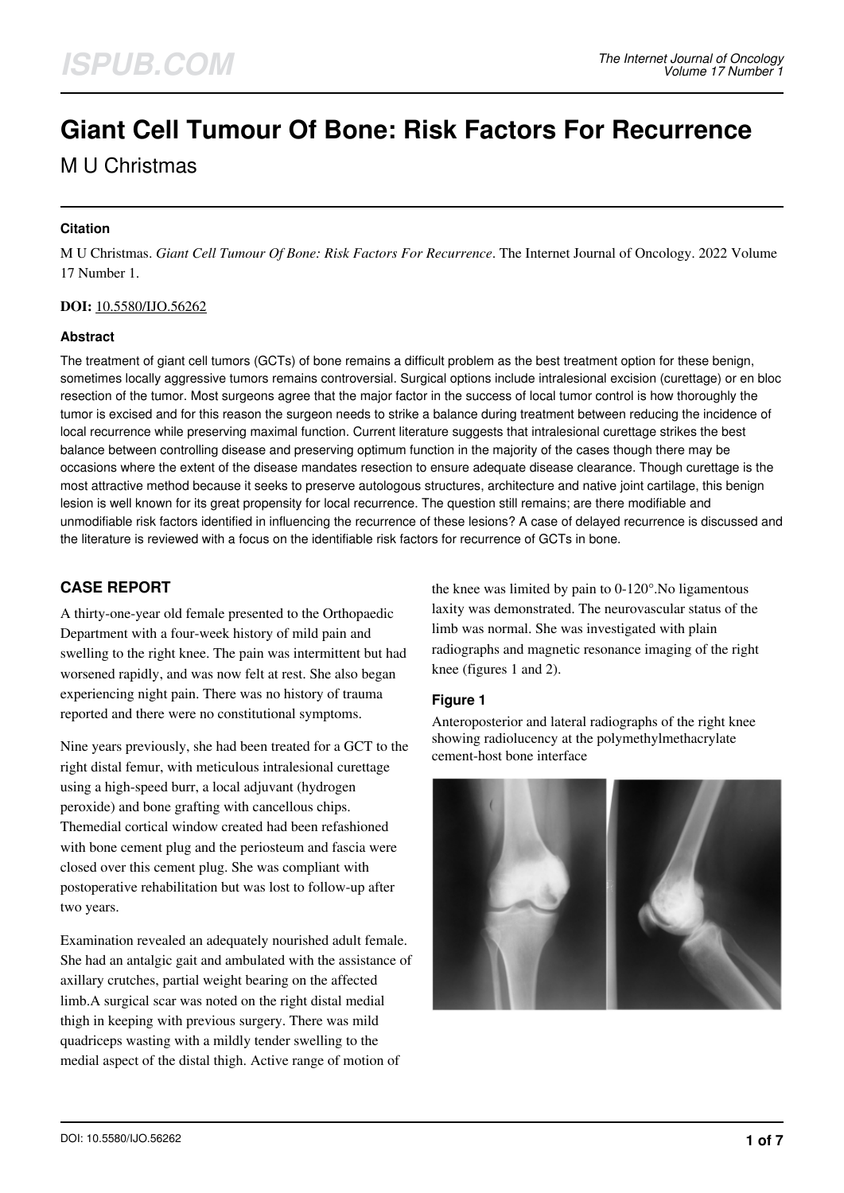# **Giant Cell Tumour Of Bone: Risk Factors For Recurrence**

M U Christmas

## **Citation**

M U Christmas. *Giant Cell Tumour Of Bone: Risk Factors For Recurrence*. The Internet Journal of Oncology. 2022 Volume 17 Number 1.

## **DOI:** [10.5580/IJO.56262](https://ispub.com/doi/10.5580/IJO.56262)

#### **Abstract**

The treatment of giant cell tumors (GCTs) of bone remains a difficult problem as the best treatment option for these benign, sometimes locally aggressive tumors remains controversial. Surgical options include intralesional excision (curettage) or en bloc resection of the tumor. Most surgeons agree that the major factor in the success of local tumor control is how thoroughly the tumor is excised and for this reason the surgeon needs to strike a balance during treatment between reducing the incidence of local recurrence while preserving maximal function. Current literature suggests that intralesional curettage strikes the best balance between controlling disease and preserving optimum function in the majority of the cases though there may be occasions where the extent of the disease mandates resection to ensure adequate disease clearance. Though curettage is the most attractive method because it seeks to preserve autologous structures, architecture and native joint cartilage, this benign lesion is well known for its great propensity for local recurrence. The question still remains; are there modifiable and unmodifiable risk factors identified in influencing the recurrence of these lesions? A case of delayed recurrence is discussed and the literature is reviewed with a focus on the identifiable risk factors for recurrence of GCTs in bone.

# **CASE REPORT**

A thirty-one-year old female presented to the Orthopaedic Department with a four-week history of mild pain and swelling to the right knee. The pain was intermittent but had worsened rapidly, and was now felt at rest. She also began experiencing night pain. There was no history of trauma reported and there were no constitutional symptoms.

Nine years previously, she had been treated for a GCT to the right distal femur, with meticulous intralesional curettage using a high-speed burr, a local adjuvant (hydrogen peroxide) and bone grafting with cancellous chips. Themedial cortical window created had been refashioned with bone cement plug and the periosteum and fascia were closed over this cement plug. She was compliant with postoperative rehabilitation but was lost to follow-up after two years.

Examination revealed an adequately nourished adult female. She had an antalgic gait and ambulated with the assistance of axillary crutches, partial weight bearing on the affected limb.A surgical scar was noted on the right distal medial thigh in keeping with previous surgery. There was mild quadriceps wasting with a mildly tender swelling to the medial aspect of the distal thigh. Active range of motion of

the knee was limited by pain to 0-120°.No ligamentous laxity was demonstrated. The neurovascular status of the limb was normal. She was investigated with plain radiographs and magnetic resonance imaging of the right knee (figures 1 and 2).

#### **Figure 1**

Anteroposterior and lateral radiographs of the right knee showing radiolucency at the polymethylmethacrylate cement-host bone interface

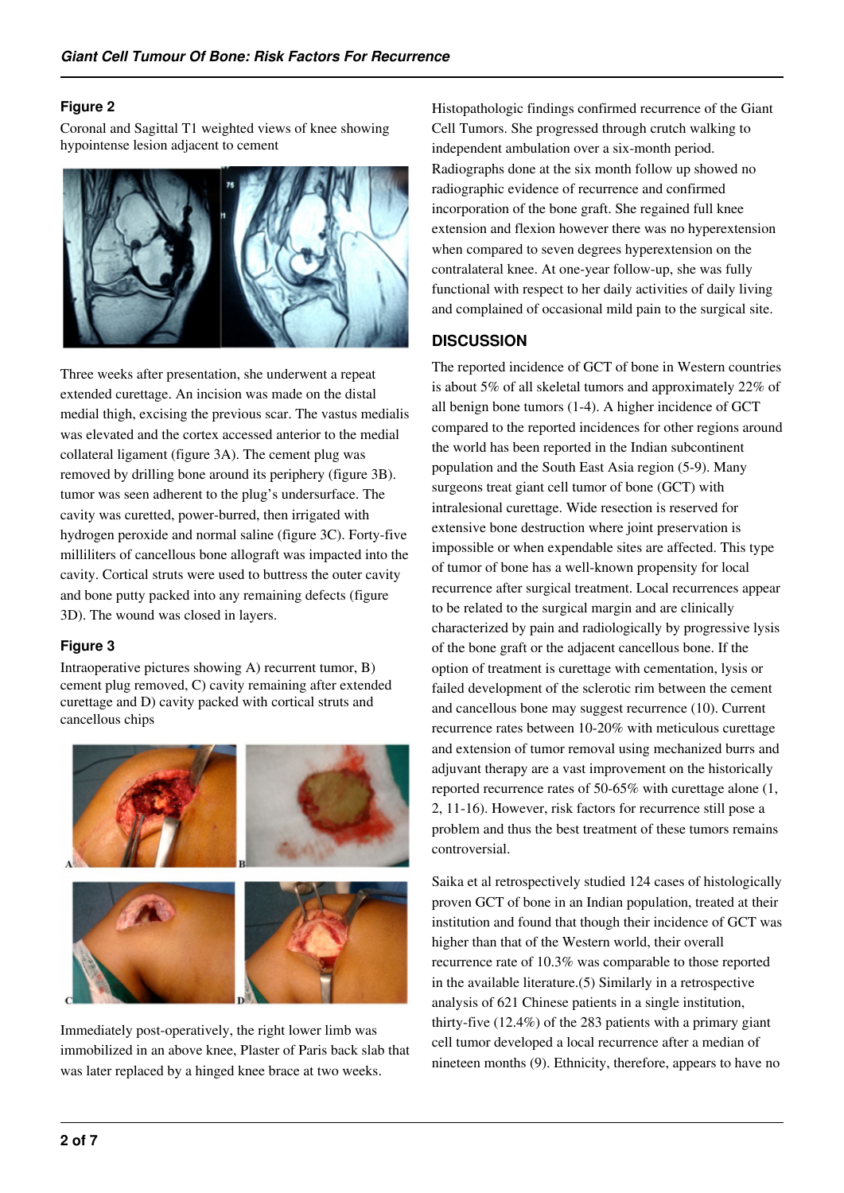#### **Figure 2**

Coronal and Sagittal T1 weighted views of knee showing hypointense lesion adjacent to cement



Three weeks after presentation, she underwent a repeat extended curettage. An incision was made on the distal medial thigh, excising the previous scar. The vastus medialis was elevated and the cortex accessed anterior to the medial collateral ligament (figure 3A). The cement plug was removed by drilling bone around its periphery (figure 3B). tumor was seen adherent to the plug's undersurface. The cavity was curetted, power-burred, then irrigated with hydrogen peroxide and normal saline (figure 3C). Forty-five milliliters of cancellous bone allograft was impacted into the cavity. Cortical struts were used to buttress the outer cavity and bone putty packed into any remaining defects (figure 3D). The wound was closed in layers.

## **Figure 3**

Intraoperative pictures showing A) recurrent tumor, B) cement plug removed, C) cavity remaining after extended curettage and D) cavity packed with cortical struts and cancellous chips



Immediately post-operatively, the right lower limb was immobilized in an above knee, Plaster of Paris back slab that was later replaced by a hinged knee brace at two weeks.

Histopathologic findings confirmed recurrence of the Giant Cell Tumors. She progressed through crutch walking to independent ambulation over a six-month period. Radiographs done at the six month follow up showed no radiographic evidence of recurrence and confirmed incorporation of the bone graft. She regained full knee extension and flexion however there was no hyperextension when compared to seven degrees hyperextension on the contralateral knee. At one-year follow-up, she was fully functional with respect to her daily activities of daily living and complained of occasional mild pain to the surgical site.

# **DISCUSSION**

The reported incidence of GCT of bone in Western countries is about 5% of all skeletal tumors and approximately 22% of all benign bone tumors (1-4). A higher incidence of GCT compared to the reported incidences for other regions around the world has been reported in the Indian subcontinent population and the South East Asia region (5-9). Many surgeons treat giant cell tumor of bone (GCT) with intralesional curettage. Wide resection is reserved for extensive bone destruction where joint preservation is impossible or when expendable sites are affected. This type of tumor of bone has a well-known propensity for local recurrence after surgical treatment. Local recurrences appear to be related to the surgical margin and are clinically characterized by pain and radiologically by progressive lysis of the bone graft or the adjacent cancellous bone. If the option of treatment is curettage with cementation, lysis or failed development of the sclerotic rim between the cement and cancellous bone may suggest recurrence (10). Current recurrence rates between 10-20% with meticulous curettage and extension of tumor removal using mechanized burrs and adjuvant therapy are a vast improvement on the historically reported recurrence rates of 50-65% with curettage alone (1, 2, 11-16). However, risk factors for recurrence still pose a problem and thus the best treatment of these tumors remains controversial.

Saika et al retrospectively studied 124 cases of histologically proven GCT of bone in an Indian population, treated at their institution and found that though their incidence of GCT was higher than that of the Western world, their overall recurrence rate of 10.3% was comparable to those reported in the available literature.(5) Similarly in a retrospective analysis of 621 Chinese patients in a single institution, thirty-five (12.4%) of the 283 patients with a primary giant cell tumor developed a local recurrence after a median of nineteen months (9). Ethnicity, therefore, appears to have no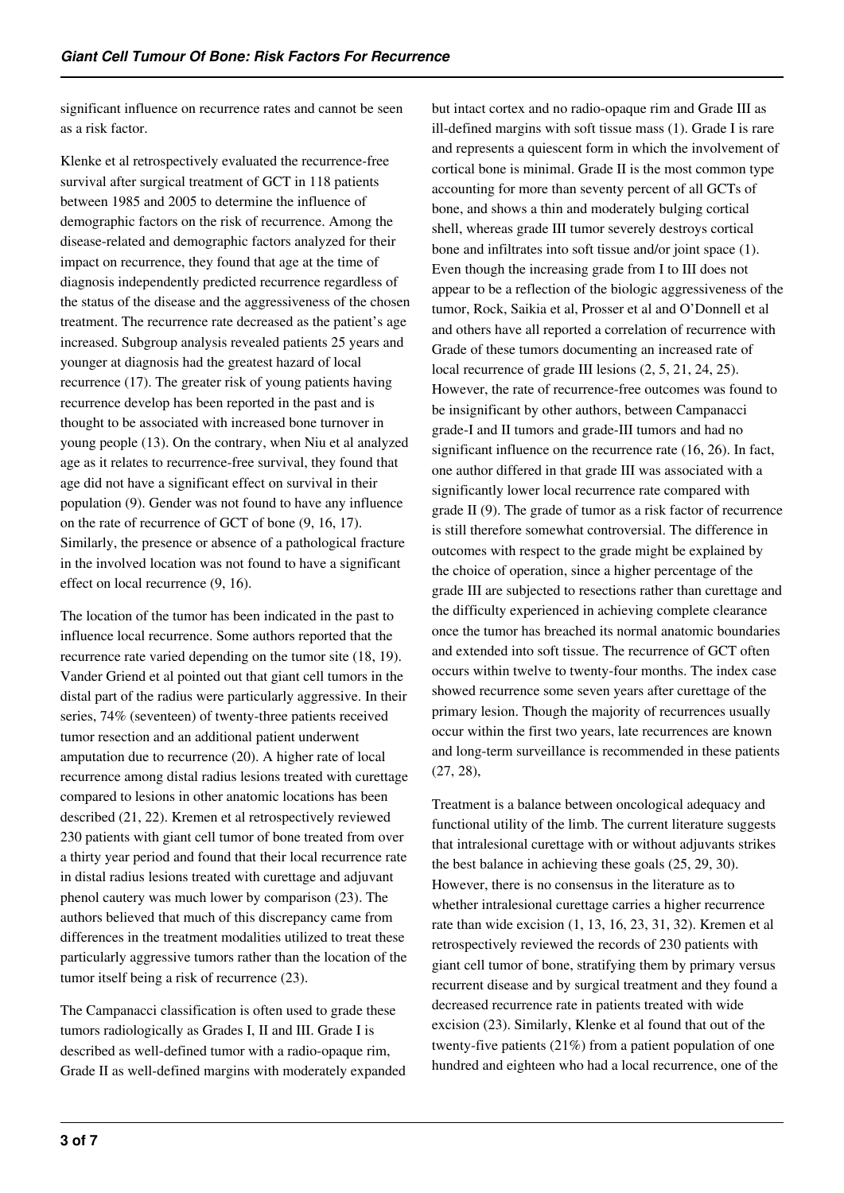significant influence on recurrence rates and cannot be seen as a risk factor.

Klenke et al retrospectively evaluated the recurrence-free survival after surgical treatment of GCT in 118 patients between 1985 and 2005 to determine the influence of demographic factors on the risk of recurrence. Among the disease-related and demographic factors analyzed for their impact on recurrence, they found that age at the time of diagnosis independently predicted recurrence regardless of the status of the disease and the aggressiveness of the chosen treatment. The recurrence rate decreased as the patient's age increased. Subgroup analysis revealed patients 25 years and younger at diagnosis had the greatest hazard of local recurrence (17). The greater risk of young patients having recurrence develop has been reported in the past and is thought to be associated with increased bone turnover in young people (13). On the contrary, when Niu et al analyzed age as it relates to recurrence-free survival, they found that age did not have a significant effect on survival in their population (9). Gender was not found to have any influence on the rate of recurrence of GCT of bone (9, 16, 17). Similarly, the presence or absence of a pathological fracture in the involved location was not found to have a significant effect on local recurrence (9, 16).

The location of the tumor has been indicated in the past to influence local recurrence. Some authors reported that the recurrence rate varied depending on the tumor site (18, 19). Vander Griend et al pointed out that giant cell tumors in the distal part of the radius were particularly aggressive. In their series, 74% (seventeen) of twenty-three patients received tumor resection and an additional patient underwent amputation due to recurrence (20). A higher rate of local recurrence among distal radius lesions treated with curettage compared to lesions in other anatomic locations has been described (21, 22). Kremen et al retrospectively reviewed 230 patients with giant cell tumor of bone treated from over a thirty year period and found that their local recurrence rate in distal radius lesions treated with curettage and adjuvant phenol cautery was much lower by comparison (23). The authors believed that much of this discrepancy came from differences in the treatment modalities utilized to treat these particularly aggressive tumors rather than the location of the tumor itself being a risk of recurrence (23).

The Campanacci classification is often used to grade these tumors radiologically as Grades I, II and III. Grade I is described as well-defined tumor with a radio-opaque rim, Grade II as well-defined margins with moderately expanded but intact cortex and no radio-opaque rim and Grade III as ill-defined margins with soft tissue mass (1). Grade I is rare and represents a quiescent form in which the involvement of cortical bone is minimal. Grade II is the most common type accounting for more than seventy percent of all GCTs of bone, and shows a thin and moderately bulging cortical shell, whereas grade III tumor severely destroys cortical bone and infiltrates into soft tissue and/or joint space (1). Even though the increasing grade from I to III does not appear to be a reflection of the biologic aggressiveness of the tumor, Rock, Saikia et al, Prosser et al and O'Donnell et al and others have all reported a correlation of recurrence with Grade of these tumors documenting an increased rate of local recurrence of grade III lesions (2, 5, 21, 24, 25). However, the rate of recurrence-free outcomes was found to be insignificant by other authors, between Campanacci grade-I and II tumors and grade-III tumors and had no significant influence on the recurrence rate (16, 26). In fact, one author differed in that grade III was associated with a significantly lower local recurrence rate compared with grade II (9). The grade of tumor as a risk factor of recurrence is still therefore somewhat controversial. The difference in outcomes with respect to the grade might be explained by the choice of operation, since a higher percentage of the grade III are subjected to resections rather than curettage and the difficulty experienced in achieving complete clearance once the tumor has breached its normal anatomic boundaries and extended into soft tissue. The recurrence of GCT often occurs within twelve to twenty-four months. The index case showed recurrence some seven years after curettage of the primary lesion. Though the majority of recurrences usually occur within the first two years, late recurrences are known and long-term surveillance is recommended in these patients (27, 28),

Treatment is a balance between oncological adequacy and functional utility of the limb. The current literature suggests that intralesional curettage with or without adjuvants strikes the best balance in achieving these goals (25, 29, 30). However, there is no consensus in the literature as to whether intralesional curettage carries a higher recurrence rate than wide excision (1, 13, 16, 23, 31, 32). Kremen et al retrospectively reviewed the records of 230 patients with giant cell tumor of bone, stratifying them by primary versus recurrent disease and by surgical treatment and they found a decreased recurrence rate in patients treated with wide excision (23). Similarly, Klenke et al found that out of the twenty-five patients (21%) from a patient population of one hundred and eighteen who had a local recurrence, one of the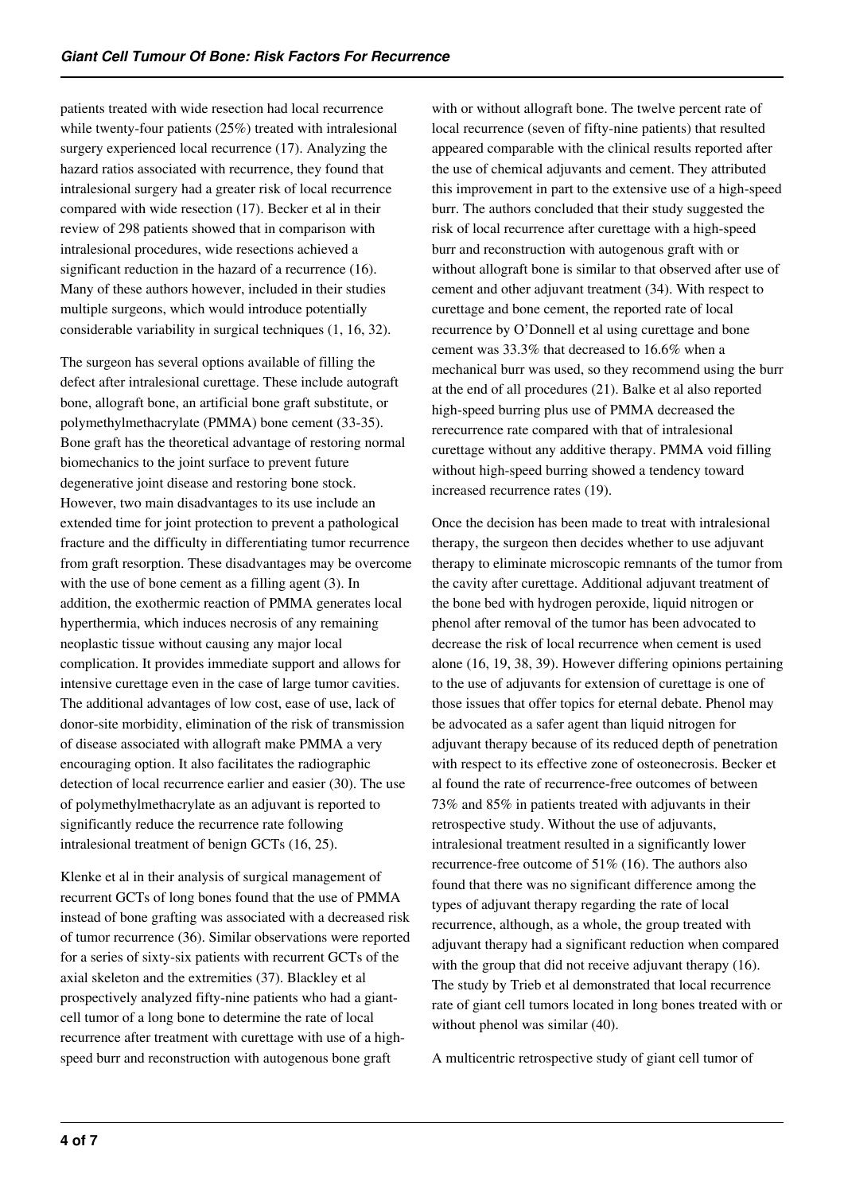patients treated with wide resection had local recurrence while twenty-four patients (25%) treated with intralesional surgery experienced local recurrence (17). Analyzing the hazard ratios associated with recurrence, they found that intralesional surgery had a greater risk of local recurrence compared with wide resection (17). Becker et al in their review of 298 patients showed that in comparison with intralesional procedures, wide resections achieved a significant reduction in the hazard of a recurrence (16). Many of these authors however, included in their studies multiple surgeons, which would introduce potentially considerable variability in surgical techniques (1, 16, 32).

The surgeon has several options available of filling the defect after intralesional curettage. These include autograft bone, allograft bone, an artificial bone graft substitute, or polymethylmethacrylate (PMMA) bone cement (33-35). Bone graft has the theoretical advantage of restoring normal biomechanics to the joint surface to prevent future degenerative joint disease and restoring bone stock. However, two main disadvantages to its use include an extended time for joint protection to prevent a pathological fracture and the difficulty in differentiating tumor recurrence from graft resorption. These disadvantages may be overcome with the use of bone cement as a filling agent (3). In addition, the exothermic reaction of PMMA generates local hyperthermia, which induces necrosis of any remaining neoplastic tissue without causing any major local complication. It provides immediate support and allows for intensive curettage even in the case of large tumor cavities. The additional advantages of low cost, ease of use, lack of donor-site morbidity, elimination of the risk of transmission of disease associated with allograft make PMMA a very encouraging option. It also facilitates the radiographic detection of local recurrence earlier and easier (30). The use of polymethylmethacrylate as an adjuvant is reported to significantly reduce the recurrence rate following intralesional treatment of benign GCTs (16, 25).

Klenke et al in their analysis of surgical management of recurrent GCTs of long bones found that the use of PMMA instead of bone grafting was associated with a decreased risk of tumor recurrence (36). Similar observations were reported for a series of sixty-six patients with recurrent GCTs of the axial skeleton and the extremities (37). Blackley et al prospectively analyzed fifty-nine patients who had a giantcell tumor of a long bone to determine the rate of local recurrence after treatment with curettage with use of a highspeed burr and reconstruction with autogenous bone graft

with or without allograft bone. The twelve percent rate of local recurrence (seven of fifty-nine patients) that resulted appeared comparable with the clinical results reported after the use of chemical adjuvants and cement. They attributed this improvement in part to the extensive use of a high-speed burr. The authors concluded that their study suggested the risk of local recurrence after curettage with a high-speed burr and reconstruction with autogenous graft with or without allograft bone is similar to that observed after use of cement and other adjuvant treatment (34). With respect to curettage and bone cement, the reported rate of local recurrence by O'Donnell et al using curettage and bone cement was 33.3% that decreased to 16.6% when a mechanical burr was used, so they recommend using the burr at the end of all procedures (21). Balke et al also reported high-speed burring plus use of PMMA decreased the rerecurrence rate compared with that of intralesional curettage without any additive therapy. PMMA void filling without high-speed burring showed a tendency toward increased recurrence rates (19).

Once the decision has been made to treat with intralesional therapy, the surgeon then decides whether to use adjuvant therapy to eliminate microscopic remnants of the tumor from the cavity after curettage. Additional adjuvant treatment of the bone bed with hydrogen peroxide, liquid nitrogen or phenol after removal of the tumor has been advocated to decrease the risk of local recurrence when cement is used alone (16, 19, 38, 39). However differing opinions pertaining to the use of adjuvants for extension of curettage is one of those issues that offer topics for eternal debate. Phenol may be advocated as a safer agent than liquid nitrogen for adjuvant therapy because of its reduced depth of penetration with respect to its effective zone of osteonecrosis. Becker et al found the rate of recurrence-free outcomes of between 73% and 85% in patients treated with adjuvants in their retrospective study. Without the use of adjuvants, intralesional treatment resulted in a significantly lower recurrence-free outcome of 51% (16). The authors also found that there was no significant difference among the types of adjuvant therapy regarding the rate of local recurrence, although, as a whole, the group treated with adjuvant therapy had a significant reduction when compared with the group that did not receive adjuvant therapy (16). The study by Trieb et al demonstrated that local recurrence rate of giant cell tumors located in long bones treated with or without phenol was similar  $(40)$ .

A multicentric retrospective study of giant cell tumor of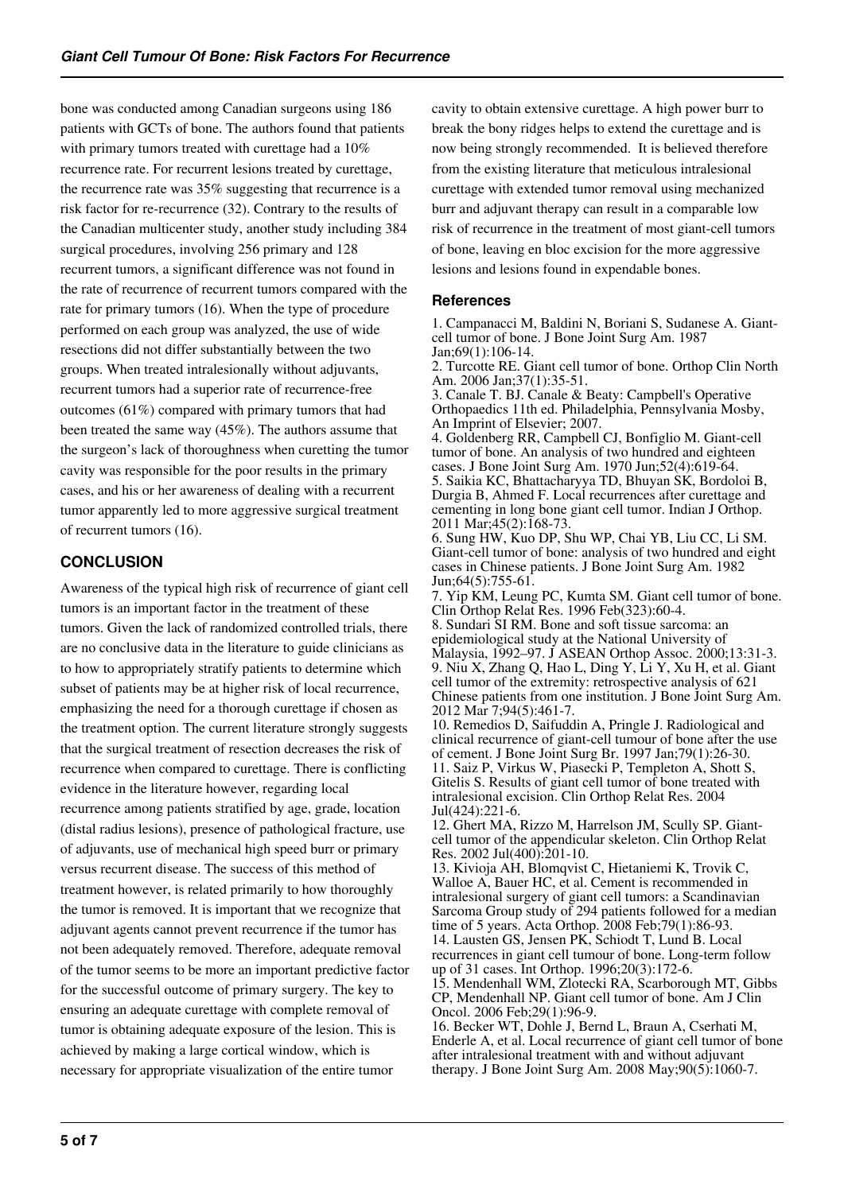bone was conducted among Canadian surgeons using 186 patients with GCTs of bone. The authors found that patients with primary tumors treated with curettage had a 10% recurrence rate. For recurrent lesions treated by curettage, the recurrence rate was 35% suggesting that recurrence is a risk factor for re-recurrence (32). Contrary to the results of the Canadian multicenter study, another study including 384 surgical procedures, involving 256 primary and 128 recurrent tumors, a significant difference was not found in the rate of recurrence of recurrent tumors compared with the rate for primary tumors (16). When the type of procedure performed on each group was analyzed, the use of wide resections did not differ substantially between the two groups. When treated intralesionally without adjuvants, recurrent tumors had a superior rate of recurrence-free outcomes (61%) compared with primary tumors that had been treated the same way (45%). The authors assume that the surgeon's lack of thoroughness when curetting the tumor cavity was responsible for the poor results in the primary cases, and his or her awareness of dealing with a recurrent tumor apparently led to more aggressive surgical treatment of recurrent tumors (16).

# **CONCLUSION**

Awareness of the typical high risk of recurrence of giant cell tumors is an important factor in the treatment of these tumors. Given the lack of randomized controlled trials, there are no conclusive data in the literature to guide clinicians as to how to appropriately stratify patients to determine which subset of patients may be at higher risk of local recurrence, emphasizing the need for a thorough curettage if chosen as the treatment option. The current literature strongly suggests that the surgical treatment of resection decreases the risk of recurrence when compared to curettage. There is conflicting evidence in the literature however, regarding local recurrence among patients stratified by age, grade, location (distal radius lesions), presence of pathological fracture, use of adjuvants, use of mechanical high speed burr or primary versus recurrent disease. The success of this method of treatment however, is related primarily to how thoroughly the tumor is removed. It is important that we recognize that adjuvant agents cannot prevent recurrence if the tumor has not been adequately removed. Therefore, adequate removal of the tumor seems to be more an important predictive factor for the successful outcome of primary surgery. The key to ensuring an adequate curettage with complete removal of tumor is obtaining adequate exposure of the lesion. This is achieved by making a large cortical window, which is necessary for appropriate visualization of the entire tumor

cavity to obtain extensive curettage. A high power burr to break the bony ridges helps to extend the curettage and is now being strongly recommended. It is believed therefore from the existing literature that meticulous intralesional curettage with extended tumor removal using mechanized burr and adjuvant therapy can result in a comparable low risk of recurrence in the treatment of most giant-cell tumors of bone, leaving en bloc excision for the more aggressive lesions and lesions found in expendable bones.

#### **References**

1. Campanacci M, Baldini N, Boriani S, Sudanese A. Giantcell tumor of bone. J Bone Joint Surg Am. 1987 Jan;69(1):106-14.

2. Turcotte RE. Giant cell tumor of bone. Orthop Clin North Am. 2006 Jan;37(1):35-51.

3. Canale T. BJ. Canale & Beaty: Campbell's Operative Orthopaedics 11th ed. Philadelphia, Pennsylvania Mosby, An Imprint of Elsevier; 2007.

4. Goldenberg RR, Campbell CJ, Bonfiglio M. Giant-cell tumor of bone. An analysis of two hundred and eighteen cases. J Bone Joint Surg Am. 1970 Jun;52(4):619-64. 5. Saikia KC, Bhattacharyya TD, Bhuyan SK, Bordoloi B, Durgia B, Ahmed F. Local recurrences after curettage and cementing in long bone giant cell tumor. Indian J Orthop. 2011 Mar;45(2):168-73.

6. Sung HW, Kuo DP, Shu WP, Chai YB, Liu CC, Li SM. Giant-cell tumor of bone: analysis of two hundred and eight cases in Chinese patients. J Bone Joint Surg Am. 1982 Jun;64(5):755-61.

7. Yip KM, Leung PC, Kumta SM. Giant cell tumor of bone. Clin Orthop Relat Res. 1996 Feb(323):60-4.

8. Sundari SI RM. Bone and soft tissue sarcoma: an epidemiological study at the National University of Malaysia, 1992–97. J ASEAN Orthop Assoc. 2000;13:31-3. 9. Niu X, Zhang Q, Hao L, Ding Y, Li Y, Xu H, et al. Giant cell tumor of the extremity: retrospective analysis of 621 Chinese patients from one institution. J Bone Joint Surg Am. 2012 Mar 7;94(5):461-7.

10. Remedios D, Saifuddin A, Pringle J. Radiological and clinical recurrence of giant-cell tumour of bone after the use of cement. J Bone Joint Surg Br. 1997 Jan;79(1):26-30. 11. Saiz P, Virkus W, Piasecki P, Templeton A, Shott S, Gitelis S. Results of giant cell tumor of bone treated with intralesional excision. Clin Orthop Relat Res. 2004 Jul(424):221-6.

12. Ghert MA, Rizzo M, Harrelson JM, Scully SP. Giantcell tumor of the appendicular skeleton. Clin Orthop Relat Res. 2002 Jul(400):201-10.

13. Kivioja AH, Blomqvist C, Hietaniemi K, Trovik C, Walloe A, Bauer HC, et al. Cement is recommended in intralesional surgery of giant cell tumors: a Scandinavian Sarcoma Group study of 294 patients followed for a median time of 5 years. Acta Orthop. 2008 Feb;79(1):86-93. 14. Lausten GS, Jensen PK, Schiodt T, Lund B. Local recurrences in giant cell tumour of bone. Long-term follow up of 31 cases. Int Orthop. 1996;20(3):172-6. 15. Mendenhall WM, Zlotecki RA, Scarborough MT, Gibbs CP, Mendenhall NP. Giant cell tumor of bone. Am J Clin Oncol. 2006 Feb;29(1):96-9.

16. Becker WT, Dohle J, Bernd L, Braun A, Cserhati M, Enderle A, et al. Local recurrence of giant cell tumor of bone after intralesional treatment with and without adjuvant therapy. J Bone Joint Surg Am. 2008 May;90(5):1060-7.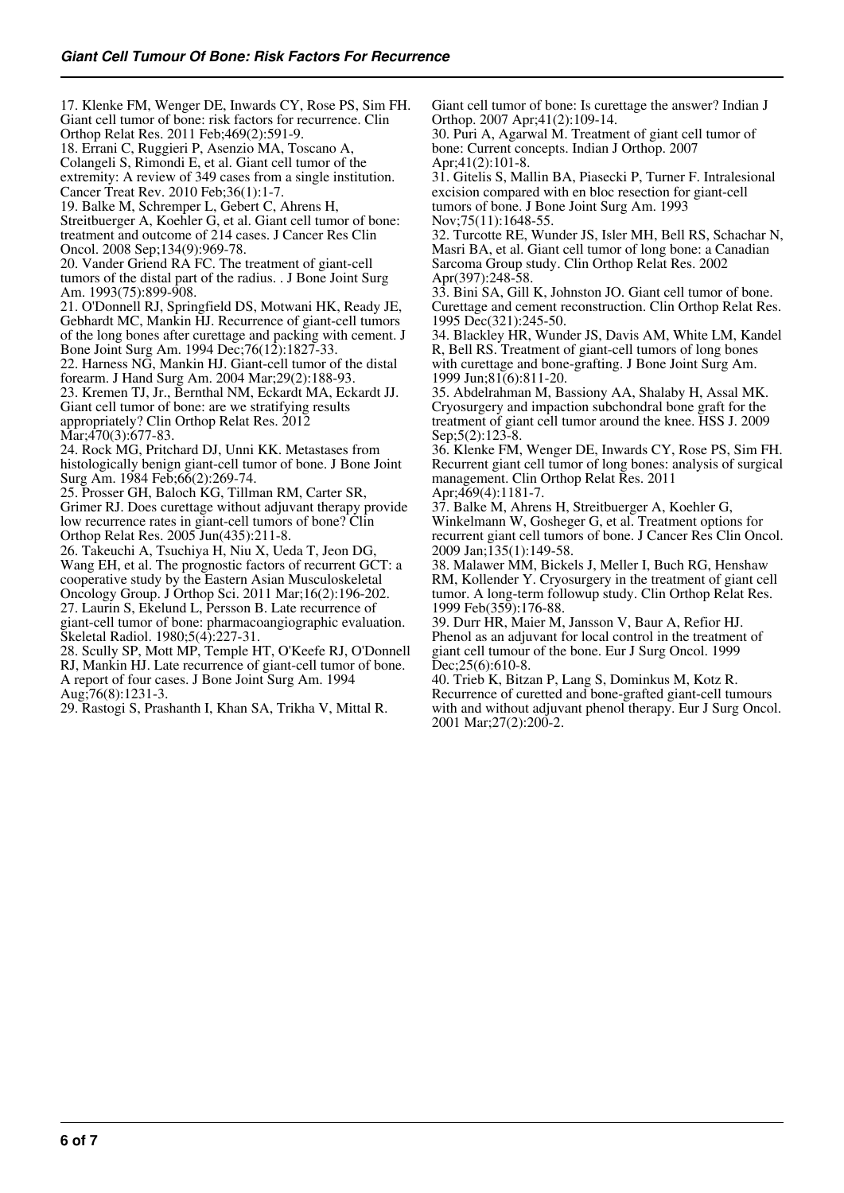17. Klenke FM, Wenger DE, Inwards CY, Rose PS, Sim FH. Giant cell tumor of bone: risk factors for recurrence. Clin Orthop Relat Res. 2011 Feb;469(2):591-9. 18. Errani C, Ruggieri P, Asenzio MA, Toscano A, Colangeli S, Rimondi E, et al. Giant cell tumor of the extremity: A review of 349 cases from a single institution. Cancer Treat Rev. 2010 Feb;36(1):1-7. 19. Balke M, Schremper L, Gebert C, Ahrens H, Streitbuerger A, Koehler G, et al. Giant cell tumor of bone: treatment and outcome of 214 cases. J Cancer Res Clin Oncol. 2008 Sep;134(9):969-78. 20. Vander Griend RA FC. The treatment of giant-cell tumors of the distal part of the radius. . J Bone Joint Surg Am. 1993(75):899-908. 21. O'Donnell RJ, Springfield DS, Motwani HK, Ready JE, Gebhardt MC, Mankin HJ. Recurrence of giant-cell tumors of the long bones after curettage and packing with cement. J Bone Joint Surg Am. 1994 Dec;76(12):1827-33. 22. Harness NG, Mankin HJ. Giant-cell tumor of the distal forearm. J Hand Surg Am. 2004 Mar;29(2):188-93.

23. Kremen TJ, Jr., Bernthal NM, Eckardt MA, Eckardt JJ. Giant cell tumor of bone: are we stratifying results appropriately? Clin Orthop Relat Res. 2012 Mar; 470(3): 677-83.

24. Rock MG, Pritchard DJ, Unni KK. Metastases from histologically benign giant-cell tumor of bone. J Bone Joint Surg Am. 1984 Feb;66(2):269-74.

25. Prosser GH, Baloch KG, Tillman RM, Carter SR, Grimer RJ. Does curettage without adjuvant therapy provide low recurrence rates in giant-cell tumors of bone? Clin Orthop Relat Res. 2005 Jun(435):211-8.

26. Takeuchi A, Tsuchiya H, Niu X, Ueda T, Jeon DG, Wang EH, et al. The prognostic factors of recurrent GCT: a cooperative study by the Eastern Asian Musculoskeletal Oncology Group. J Orthop Sci. 2011 Mar;16(2):196-202. 27. Laurin S, Ekelund L, Persson B. Late recurrence of giant-cell tumor of bone: pharmacoangiographic evaluation. Skeletal Radiol. 1980;5(4):227-31.

28. Scully SP, Mott MP, Temple HT, O'Keefe RJ, O'Donnell RJ, Mankin HJ. Late recurrence of giant-cell tumor of bone. A report of four cases. J Bone Joint Surg Am. 1994 Aug;76(8):1231-3.

29. Rastogi S, Prashanth I, Khan SA, Trikha V, Mittal R.

Giant cell tumor of bone: Is curettage the answer? Indian J Orthop. 2007 Apr;41(2):109-14.

30. Puri A, Agarwal M. Treatment of giant cell tumor of bone: Current concepts. Indian J Orthop. 2007 Apr;41(2):101-8.

31. Gitelis S, Mallin BA, Piasecki P, Turner F. Intralesional excision compared with en bloc resection for giant-cell tumors of bone. J Bone Joint Surg Am. 1993 Nov;75(11):1648-55.

32. Turcotte RE, Wunder JS, Isler MH, Bell RS, Schachar N, Masri BA, et al. Giant cell tumor of long bone: a Canadian Sarcoma Group study. Clin Orthop Relat Res. 2002 Apr(397):248-58.

33. Bini SA, Gill K, Johnston JO. Giant cell tumor of bone. Curettage and cement reconstruction. Clin Orthop Relat Res. 1995 Dec(321):245-50.

34. Blackley HR, Wunder JS, Davis AM, White LM, Kandel R, Bell RS. Treatment of giant-cell tumors of long bones with curettage and bone-grafting. J Bone Joint Surg Am. 1999 Jun;81(6):811-20.

35. Abdelrahman M, Bassiony AA, Shalaby H, Assal MK. Cryosurgery and impaction subchondral bone graft for the treatment of giant cell tumor around the knee. HSS J. 2009 Sep;5(2):123-8.

36. Klenke FM, Wenger DE, Inwards CY, Rose PS, Sim FH. Recurrent giant cell tumor of long bones: analysis of surgical management. Clin Orthop Relat Res. 2011 Apr;469(4):1181-7.

37. Balke M, Ahrens H, Streitbuerger A, Koehler G,

Winkelmann W, Gosheger G, et al. Treatment options for recurrent giant cell tumors of bone. J Cancer Res Clin Oncol. 2009 Jan;135(1):149-58.

38. Malawer MM, Bickels J, Meller I, Buch RG, Henshaw RM, Kollender Y. Cryosurgery in the treatment of giant cell tumor. A long-term followup study. Clin Orthop Relat Res. 1999 Feb(359):176-88.

39. Durr HR, Maier M, Jansson V, Baur A, Refior HJ. Phenol as an adjuvant for local control in the treatment of giant cell tumour of the bone. Eur J Surg Oncol. 1999 Dec; 25(6): 610-8.

40. Trieb K, Bitzan P, Lang S, Dominkus M, Kotz R. Recurrence of curetted and bone-grafted giant-cell tumours with and without adjuvant phenol therapy. Eur J Surg Oncol. 2001 Mar;27(2):200-2.